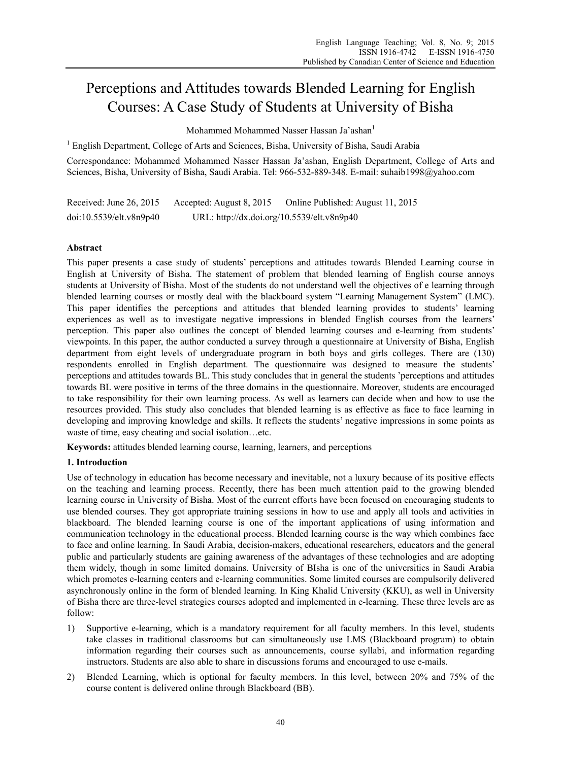# Perceptions and Attitudes towards Blended Learning for English Courses: A Case Study of Students at University of Bisha

Mohammed Mohammed Nasser Hassan Ja'ashan<sup>1</sup>

<sup>1</sup> English Department, College of Arts and Sciences, Bisha, University of Bisha, Saudi Arabia

Correspondance: Mohammed Mohammed Nasser Hassan Ja'ashan, English Department, College of Arts and Sciences, Bisha, University of Bisha, Saudi Arabia. Tel: 966-532-889-348. E-mail: suhaib1998@yahoo.com

Received: June 26, 2015 Accepted: August 8, 2015 Online Published: August 11, 2015 doi:10.5539/elt.v8n9p40 URL: http://dx.doi.org/10.5539/elt.v8n9p40

# **Abstract**

This paper presents a case study of students' perceptions and attitudes towards Blended Learning course in English at University of Bisha. The statement of problem that blended learning of English course annoys students at University of Bisha. Most of the students do not understand well the objectives of e learning through blended learning courses or mostly deal with the blackboard system "Learning Management System" (LMC). This paper identifies the perceptions and attitudes that blended learning provides to students' learning experiences as well as to investigate negative impressions in blended English courses from the learners' perception. This paper also outlines the concept of blended learning courses and e-learning from students' viewpoints. In this paper, the author conducted a survey through a questionnaire at University of Bisha, English department from eight levels of undergraduate program in both boys and girls colleges. There are (130) respondents enrolled in English department. The questionnaire was designed to measure the students' perceptions and attitudes towards BL. This study concludes that in general the students ' perceptions and attitudes towards BL were positive in terms of the three domains in the questionnaire. Moreover, students are encouraged to take responsibility for their own learning process. As well as learners can decide when and how to use the resources provided. This study also concludes that blended learning is as effective as face to face learning in developing and improving knowledge and skills. It reflects the students' negative impressions in some points as waste of time, easy cheating and social isolation…etc.

**Keywords:** attitudes blended learning course, learning, learners, and perceptions

# **1. Introduction**

Use of technology in education has become necessary and inevitable, not a luxury because of its positive effects on the teaching and learning process. Recently, there has been much attention paid to the growing blended learning course in University of Bisha. Most of the current efforts have been focused on encouraging students to use blended courses. They got appropriate training sessions in how to use and apply all tools and activities in blackboard. The blended learning course is one of the important applications of using information and communication technology in the educational process. Blended learning course is the way which combines face to face and online learning. In Saudi Arabia, decision-makers, educational researchers, educators and the general public and particularly students are gaining awareness of the advantages of these technologies and are adopting them widely, though in some limited domains. University of BIsha is one of the universities in Saudi Arabia which promotes e-learning centers and e-learning communities. Some limited courses are compulsorily delivered asynchronously online in the form of blended learning. In King Khalid University (KKU), as well in University of Bisha there are three-level strategies courses adopted and implemented in e-learning. These three levels are as follow:

- 1) Supportive e-learning, which is a mandatory requirement for all faculty members. In this level, students take classes in traditional classrooms but can simultaneously use LMS (Blackboard program) to obtain information regarding their courses such as announcements, course syllabi, and information regarding instructors. Students are also able to share in discussions forums and encouraged to use e-mails.
- 2) Blended Learning, which is optional for faculty members. In this level, between 20% and 75% of the course content is delivered online through Blackboard (BB).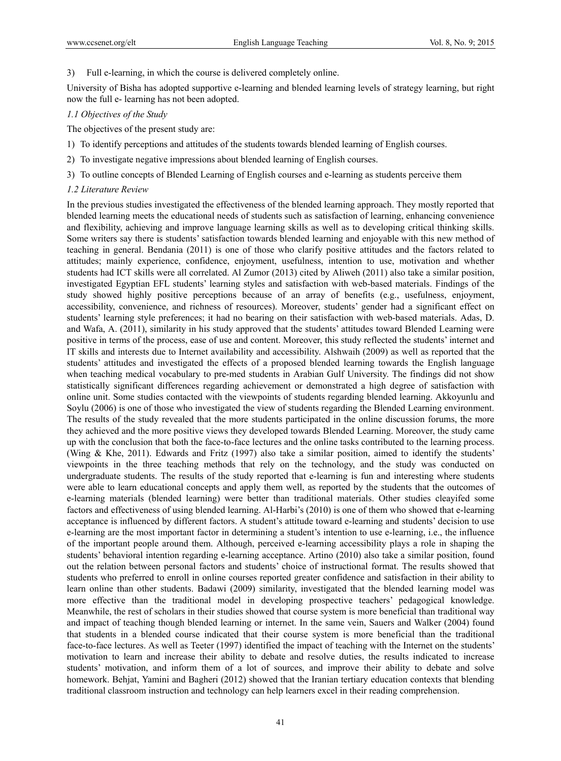Full e-learning, in which the course is delivered completely online.

University of Bisha has adopted supportive e-learning and blended learning levels of strategy learning, but right now the full e- learning has not been adopted.

#### *1.1 Objectives of the Study*

The objectives of the present study are:

- 1) To identify perceptions and attitudes of the students towards blended learning of English courses.
- 2) To investigate negative impressions about blended learning of English courses.
- 3) To outline concepts of Blended Learning of English courses and e-learning as students perceive them

#### *1.2 Literature Review*

In the previous studies investigated the effectiveness of the blended learning approach. They mostly reported that blended learning meets the educational needs of students such as satisfaction of learning, enhancing convenience and flexibility, achieving and improve language learning skills as well as to developing critical thinking skills. Some writers say there is students' satisfaction towards blended learning and enjoyable with this new method of teaching in general. Bendania (2011) is one of those who clarify positive attitudes and the factors related to attitudes; mainly experience, confidence, enjoyment, usefulness, intention to use, motivation and whether students had ICT skills were all correlated. Al Zumor (2013) cited by Aliweh (2011) also take a similar position, investigated Egyptian EFL students' learning styles and satisfaction with web-based materials. Findings of the study showed highly positive perceptions because of an array of benefits (e.g., usefulness, enjoyment, accessibility, convenience, and richness of resources). Moreover, students' gender had a significant effect on students' learning style preferences; it had no bearing on their satisfaction with web-based materials. Adas, D. and Wafa, A. (2011), similarity in his study approved that the students' attitudes toward Blended Learning were positive in terms of the process, ease of use and content. Moreover, this study reflected the students' internet and IT skills and interests due to Internet availability and accessibility. Alshwaih (2009) as well as reported that the students' attitudes and investigated the effects of a proposed blended learning towards the English language when teaching medical vocabulary to pre-med students in Arabian Gulf University. The findings did not show statistically significant differences regarding achievement or demonstrated a high degree of satisfaction with online unit. Some studies contacted with the viewpoints of students regarding blended learning. Akkoyunlu and Soylu (2006) is one of those who investigated the view of students regarding the Blended Learning environment. The results of the study revealed that the more students participated in the online discussion forums, the more they achieved and the more positive views they developed towards Blended Learning. Moreover, the study came up with the conclusion that both the face-to-face lectures and the online tasks contributed to the learning process. (Wing & Khe, 2011). Edwards and Fritz (1997) also take a similar position, aimed to identify the students' viewpoints in the three teaching methods that rely on the technology, and the study was conducted on undergraduate students. The results of the study reported that e-learning is fun and interesting where students were able to learn educational concepts and apply them well, as reported by the students that the outcomes of e-learning materials (blended learning) were better than traditional materials. Other studies cleayifed some factors and effectiveness of using blended learning. Al-Harbi's (2010) is one of them who showed that e-learning acceptance is influenced by different factors. A student's attitude toward e-learning and students' decision to use e-learning are the most important factor in determining a student's intention to use e-learning, i.e., the influence of the important people around them. Although, perceived e-learning accessibility plays a role in shaping the students' behavioral intention regarding e-learning acceptance. Artino (2010) also take a similar position, found out the relation between personal factors and students' choice of instructional format. The results showed that students who preferred to enroll in online courses reported greater confidence and satisfaction in their ability to learn online than other students. Badawi (2009) similarity, investigated that the blended learning model was more effective than the traditional model in developing prospective teachers' pedagogical knowledge. Meanwhile, the rest of scholars in their studies showed that course system is more beneficial than traditional way and impact of teaching though blended learning or internet. In the same vein, Sauers and Walker (2004) found that students in a blended course indicated that their course system is more beneficial than the traditional face-to-face lectures. As well as Teeter (1997) identified the impact of teaching with the Internet on the students' motivation to learn and increase their ability to debate and resolve duties, the results indicated to increase students' motivation, and inform them of a lot of sources, and improve their ability to debate and solve homework. Behjat, Yamini and Bagheri (2012) showed that the Iranian tertiary education contexts that blending traditional classroom instruction and technology can help learners excel in their reading comprehension.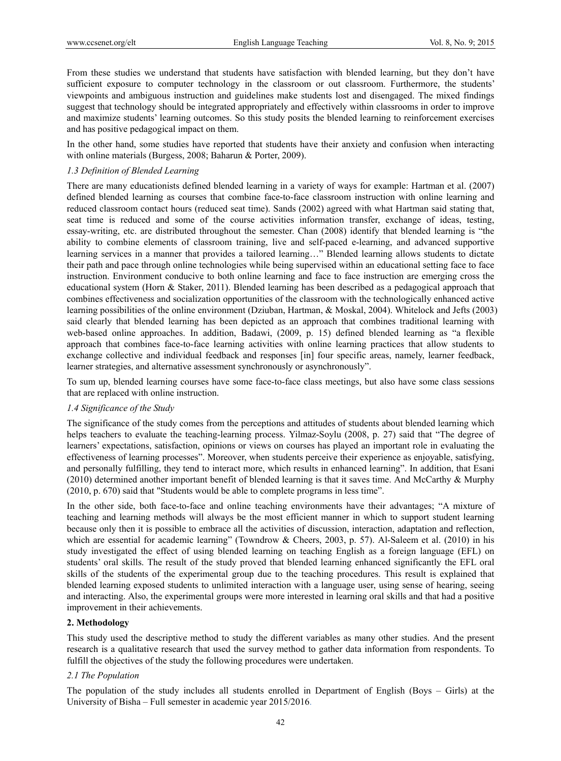From these studies we understand that students have satisfaction with blended learning, but they don't have sufficient exposure to computer technology in the classroom or out classroom. Furthermore, the students' viewpoints and ambiguous instruction and guidelines make students lost and disengaged. The mixed findings suggest that technology should be integrated appropriately and effectively within classrooms in order to improve and maximize students' learning outcomes. So this study posits the blended learning to reinforcement exercises and has positive pedagogical impact on them.

In the other hand, some studies have reported that students have their anxiety and confusion when interacting with online materials (Burgess, 2008; Baharun & Porter, 2009).

#### *1.3 Definition of Blended Learning*

There are many educationists defined blended learning in a variety of ways for example: Hartman et al. (2007) defined blended learning as courses that combine face-to-face classroom instruction with online learning and reduced classroom contact hours (reduced seat time). Sands (2002) agreed with what Hartman said stating that, seat time is reduced and some of the course activities information transfer, exchange of ideas, testing, essay-writing, etc. are distributed throughout the semester. Chan (2008) identify that blended learning is "the ability to combine elements of classroom training, live and self-paced e-learning, and advanced supportive learning services in a manner that provides a tailored learning…" Blended learning allows students to dictate their path and pace through online technologies while being supervised within an educational setting face to face instruction. Environment conducive to both online learning and face to face instruction are emerging cross the educational system (Horn & Staker, 2011). Blended learning has been described as a pedagogical approach that combines effectiveness and socialization opportunities of the classroom with the technologically enhanced active learning possibilities of the online environment (Dziuban, Hartman, & Moskal, 2004). Whitelock and Jefts (2003) said clearly that blended learning has been depicted as an approach that combines traditional learning with web-based online approaches. In addition, Badawi, (2009, p. 15) defined blended learning as "a flexible approach that combines face-to-face learning activities with online learning practices that allow students to exchange collective and individual feedback and responses [in] four specific areas, namely, learner feedback, learner strategies, and alternative assessment synchronously or asynchronously".

To sum up, blended learning courses have some face-to-face class meetings, but also have some class sessions that are replaced with online instruction.

#### *1.4 Significance of the Study*

The significance of the study comes from the perceptions and attitudes of students about blended learning which helps teachers to evaluate the teaching-learning process. Yilmaz-Soylu (2008, p. 27) said that "The degree of learners' expectations, satisfaction, opinions or views on courses has played an important role in evaluating the effectiveness of learning processes". Moreover, when students perceive their experience as enjoyable, satisfying, and personally fulfilling, they tend to interact more, which results in enhanced learning". In addition, that Esani (2010) determined another important benefit of blended learning is that it saves time. And McCarthy & Murphy (2010, p. 670) said that "Students would be able to complete programs in less time".

In the other side, both face-to-face and online teaching environments have their advantages; "A mixture of teaching and learning methods will always be the most efficient manner in which to support student learning because only then it is possible to embrace all the activities of discussion, interaction, adaptation and reflection, which are essential for academic learning" (Towndrow & Cheers, 2003, p. 57). Al-Saleem et al. (2010) in his study investigated the effect of using blended learning on teaching English as a foreign language (EFL) on students' oral skills. The result of the study proved that blended learning enhanced significantly the EFL oral skills of the students of the experimental group due to the teaching procedures. This result is explained that blended learning exposed students to unlimited interaction with a language user, using sense of hearing, seeing and interacting. Also, the experimental groups were more interested in learning oral skills and that had a positive improvement in their achievements.

### **2. Methodology**

This study used the descriptive method to study the different variables as many other studies. And the present research is a qualitative research that used the survey method to gather data information from respondents. To fulfill the objectives of the study the following procedures were undertaken.

#### *2.1 The Population*

The population of the study includes all students enrolled in Department of English (Boys – Girls) at the University of Bisha – Full semester in academic year 2015/2016.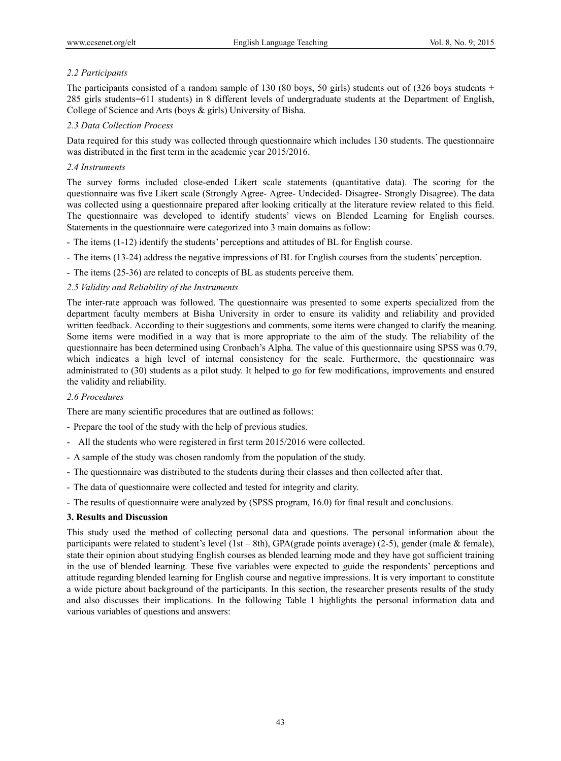# *2.2 Participants*

The participants consisted of a random sample of 130 (80 boys, 50 girls) students out of  $(326$  boys students + 285 girls students=611 students) in 8 different levels of undergraduate students at the Department of English, College of Science and Arts (boys & girls) University of Bisha.

## *2.3 Data Collection Process*

Data required for this study was collected through questionnaire which includes 130 students. The questionnaire was distributed in the first term in the academic year 2015/2016.

## *2.4 Instruments*

The survey forms included close-ended Likert scale statements (quantitative data). The scoring for the questionnaire was five Likert scale (Strongly Agree- Agree- Undecided- Disagree- Strongly Disagree). The data was collected using a questionnaire prepared after looking critically at the literature review related to this field. The questionnaire was developed to identify students' views on Blended Learning for English courses. Statements in the questionnaire were categorized into 3 main domains as follow:

- The items (1-12) identify the students' perceptions and attitudes of BL for English course.
- The items (13-24) address the negative impressions of BL for English courses from the students' perception.
- The items (25-36) are related to concepts of BL as students perceive them.

# *2.5 Validity and Reliability of the Instruments*

The inter-rate approach was followed. The questionnaire was presented to some experts specialized from the department faculty members at Bisha University in order to ensure its validity and reliability and provided written feedback. According to their suggestions and comments, some items were changed to clarify the meaning. Some items were modified in a way that is more appropriate to the aim of the study. The reliability of the questionnaire has been determined using Cronbach's Alpha. The value of this questionnaire using SPSS was 0.79, which indicates a high level of internal consistency for the scale. Furthermore, the questionnaire was administrated to (30) students as a pilot study. It helped to go for few modifications, improvements and ensured the validity and reliability.

### *2.6 Procedures*

There are many scientific procedures that are outlined as follows:

- Prepare the tool of the study with the help of previous studies.
- All the students who were registered in first term 2015/2016 were collected.
- A sample of the study was chosen randomly from the population of the study.
- The questionnaire was distributed to the students during their classes and then collected after that.
- The data of questionnaire were collected and tested for integrity and clarity.
- The results of questionnaire were analyzed by (SPSS program, 16.0) for final result and conclusions.

### **3. Results and Discussion**

This study used the method of collecting personal data and questions. The personal information about the participants were related to student's level (1st – 8th), GPA(grade points average) (2-5), gender (male & female), state their opinion about studying English courses as blended learning mode and they have got sufficient training in the use of blended learning. These five variables were expected to guide the respondents' perceptions and attitude regarding blended learning for English course and negative impressions. It is very important to constitute a wide picture about background of the participants. In this section, the researcher presents results of the study and also discusses their implications. In the following Table 1 highlights the personal information data and various variables of questions and answers: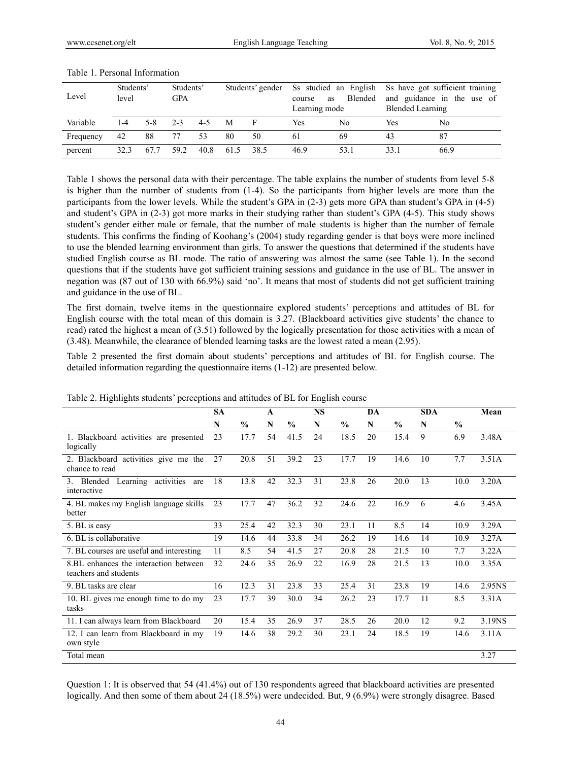| Level     | Students'<br>level |      | Students'<br><b>GPA</b> |         | Students' gender |      | as<br>course<br>Learning mode | Blended | Ss studied an English Ss have got sufficient training<br>and guidance in the use of<br><b>Blended Learning</b> |      |  |
|-----------|--------------------|------|-------------------------|---------|------------------|------|-------------------------------|---------|----------------------------------------------------------------------------------------------------------------|------|--|
| Variable  | 1-4                | 5-8  | $2 - 3$                 | $4 - 5$ | M                |      | Yes                           | Nο      | Yes                                                                                                            | No   |  |
| Frequency | 42                 | 88   | 77                      | 53      | 80               | 50   | 61                            | 69      | 43                                                                                                             |      |  |
| percent   | 32.3               | 67.7 | 59.2                    | 40.8    | 61.5             | 38.5 | 46.9                          | 53.1    | 33.1                                                                                                           | 66.9 |  |

#### Table 1. Personal Information

Table 1 shows the personal data with their percentage. The table explains the number of students from level 5-8 is higher than the number of students from (1-4). So the participants from higher levels are more than the participants from the lower levels. While the student's GPA in (2-3) gets more GPA than student's GPA in (4-5) and student's GPA in (2-3) got more marks in their studying rather than student's GPA (4-5). This study shows student's gender either male or female, that the number of male students is higher than the number of female students. This confirms the finding of Koohang's (2004) study regarding gender is that boys were more inclined to use the blended learning environment than girls. To answer the questions that determined if the students have studied English course as BL mode. The ratio of answering was almost the same (see Table 1). In the second questions that if the students have got sufficient training sessions and guidance in the use of BL. The answer in negation was (87 out of 130 with 66.9%) said 'no'. It means that most of students did not get sufficient training and guidance in the use of BL.

The first domain, twelve items in the questionnaire explored students' perceptions and attitudes of BL for English course with the total mean of this domain is 3.27. (Blackboard activities give students' the chance to read) rated the highest a mean of (3.51) followed by the logically presentation for those activities with a mean of (3.48). Meanwhile, the clearance of blended learning tasks are the lowest rated a mean (2.95).

Table 2 presented the first domain about students' perceptions and attitudes of BL for English course. The detailed information regarding the questionnaire items (1-12) are presented below.

|                                                                           | <b>SA</b> |               | $\mathbf{A}$ |                   | <b>NS</b> |               | DA |               | <b>SDA</b> |               | Mean   |
|---------------------------------------------------------------------------|-----------|---------------|--------------|-------------------|-----------|---------------|----|---------------|------------|---------------|--------|
|                                                                           | N         | $\frac{0}{0}$ | N            | $\frac{0}{0}$     | N         | $\frac{0}{0}$ | N  | $\frac{0}{0}$ | N          | $\frac{0}{0}$ |        |
| 1. Blackboard activities are presented<br>logically                       | 23        | 17.7          | 54           | $\overline{4}1.5$ | 24        | 18.5          | 20 | 15.4          | 9          | 6.9           | 3.48A  |
| 2. Blackboard activities give me the<br>chance to read                    | 27        | 20.8          | 51           | 39.2              | 23        | 17.7          | 19 | 14.6          | 10         | 7.7           | 3.51A  |
| activities<br>Blended<br>Learning<br>3 <sub>1</sub><br>are<br>interactive | 18        | 13.8          | 42           | 32.3              | 31        | 23.8          | 26 | 20.0          | 13         | 10.0          | 3.20A  |
| 4. BL makes my English language skills<br>better                          | 23        | 17.7          | 47           | 36.2              | 32        | 24.6          | 22 | 16.9          | 6          | 4.6           | 3.45A  |
| 5. BL is easy                                                             | 33        | 25.4          | 42           | 32.3              | 30        | 23.1          | 11 | 8.5           | 14         | 10.9          | 3.29A  |
| 6. BL is collaborative                                                    | 19        | 14.6          | 44           | 33.8              | 34        | 26.2          | 19 | 14.6          | 14         | 10.9          | 3.27A  |
| 7. BL courses are useful and interesting                                  | 11        | 8.5           | 54           | 41.5              | 27        | 20.8          | 28 | 21.5          | 10         | 7.7           | 3.22A  |
| 8.BL enhances the interaction between<br>teachers and students            | 32        | 24.6          | 35           | 26.9              | 22        | 16.9          | 28 | 21.5          | 13         | 10.0          | 3.35A  |
| 9. BL tasks are clear                                                     | 16        | 12.3          | 31           | 23.8              | 33        | 25.4          | 31 | 23.8          | 19         | 14.6          | 2.95NS |
| 10. BL gives me enough time to do my<br>tasks                             | 23        | 17.7          | 39           | 30.0              | 34        | 26.2          | 23 | 17.7          | 11         | 8.5           | 3.31A  |
| 11. I can always learn from Blackboard                                    | 20        | 15.4          | 35           | 26.9              | 37        | 28.5          | 26 | 20.0          | 12         | 9.2           | 3.19NS |
| 12. I can learn from Blackboard in my<br>own style                        | 19        | 14.6          | 38           | 29.2              | 30        | 23.1          | 24 | 18.5          | 19         | 14.6          | 3.11A  |
| Total mean                                                                |           |               |              |                   |           |               |    |               |            |               | 3.27   |

Table 2. Highlights students' perceptions and attitudes of BL for English course

Question 1: It is observed that 54 (41.4%) out of 130 respondents agreed that blackboard activities are presented logically. And then some of them about 24 (18.5%) were undecided. But, 9 (6.9%) were strongly disagree. Based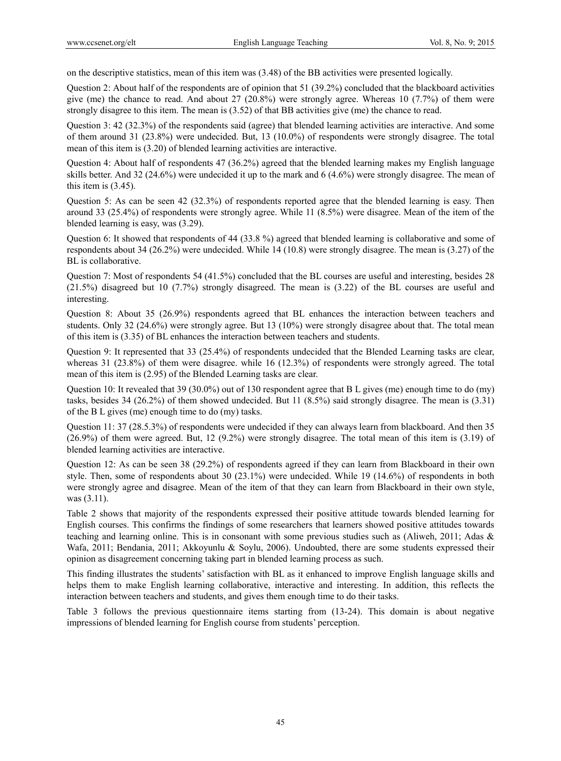on the descriptive statistics, mean of this item was (3.48) of the BB activities were presented logically.

Question 2: About half of the respondents are of opinion that 51 (39.2%) concluded that the blackboard activities give (me) the chance to read. And about 27 (20.8%) were strongly agree. Whereas 10 (7.7%) of them were strongly disagree to this item. The mean is (3.52) of that BB activities give (me) the chance to read.

Question 3: 42 (32.3%) of the respondents said (agree) that blended learning activities are interactive. And some of them around 31 (23.8%) were undecided. But, 13 (10.0%) of respondents were strongly disagree. The total mean of this item is (3.20) of blended learning activities are interactive.

Question 4: About half of respondents 47 (36.2%) agreed that the blended learning makes my English language skills better. And 32 (24.6%) were undecided it up to the mark and 6 (4.6%) were strongly disagree. The mean of this item is (3.45).

Question 5: As can be seen 42 (32.3%) of respondents reported agree that the blended learning is easy. Then around 33 (25.4%) of respondents were strongly agree. While 11 (8.5%) were disagree. Mean of the item of the blended learning is easy, was (3.29).

Question 6: It showed that respondents of 44 (33.8 %) agreed that blended learning is collaborative and some of respondents about 34 (26.2%) were undecided. While 14 (10.8) were strongly disagree. The mean is (3.27) of the BL is collaborative.

Question 7: Most of respondents 54 (41.5%) concluded that the BL courses are useful and interesting, besides 28 (21.5%) disagreed but 10 (7.7%) strongly disagreed. The mean is (3.22) of the BL courses are useful and interesting.

Question 8: About 35 (26.9%) respondents agreed that BL enhances the interaction between teachers and students. Only 32 (24.6%) were strongly agree. But 13 (10%) were strongly disagree about that. The total mean of this item is (3.35) of BL enhances the interaction between teachers and students.

Question 9: It represented that 33 (25.4%) of respondents undecided that the Blended Learning tasks are clear, whereas 31 (23.8%) of them were disagree. while 16 (12.3%) of respondents were strongly agreed. The total mean of this item is (2.95) of the Blended Learning tasks are clear.

Question 10: It revealed that 39 (30.0%) out of 130 respondent agree that B L gives (me) enough time to do (my) tasks, besides 34 (26.2%) of them showed undecided. But 11 (8.5%) said strongly disagree. The mean is (3.31) of the B L gives (me) enough time to do (my) tasks.

Question 11: 37 (28.5.3%) of respondents were undecided if they can always learn from blackboard. And then 35 (26.9%) of them were agreed. But, 12 (9.2%) were strongly disagree. The total mean of this item is (3.19) of blended learning activities are interactive.

Question 12: As can be seen 38 (29.2%) of respondents agreed if they can learn from Blackboard in their own style. Then, some of respondents about 30 (23.1%) were undecided. While 19 (14.6%) of respondents in both were strongly agree and disagree. Mean of the item of that they can learn from Blackboard in their own style, was (3.11).

Table 2 shows that majority of the respondents expressed their positive attitude towards blended learning for English courses. This confirms the findings of some researchers that learners showed positive attitudes towards teaching and learning online. This is in consonant with some previous studies such as (Aliweh, 2011; Adas & Wafa, 2011; Bendania, 2011; Akkoyunlu & Soylu, 2006). Undoubted, there are some students expressed their opinion as disagreement concerning taking part in blended learning process as such.

This finding illustrates the students' satisfaction with BL as it enhanced to improve English language skills and helps them to make English learning collaborative, interactive and interesting. In addition, this reflects the interaction between teachers and students, and gives them enough time to do their tasks.

Table 3 follows the previous questionnaire items starting from (13-24). This domain is about negative impressions of blended learning for English course from students' perception.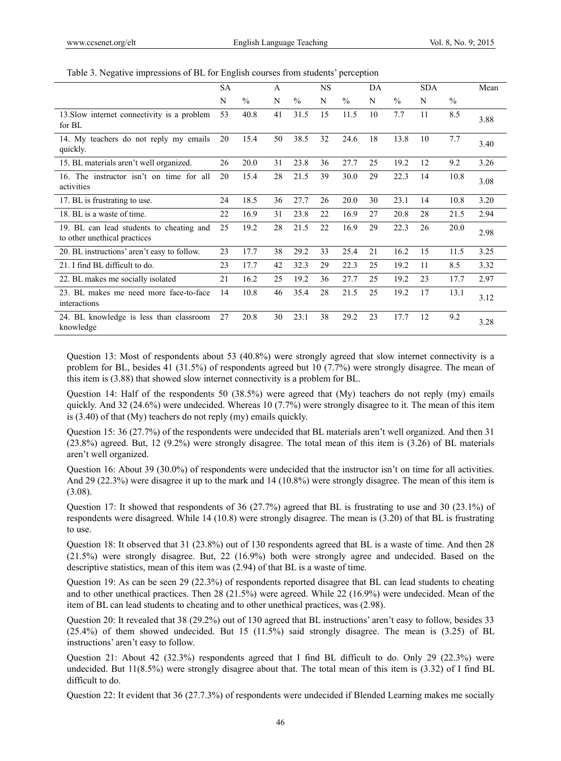|                                                                          | <b>SA</b> |               | A  |               | <b>NS</b> |               | DA |               | <b>SDA</b> |               | Mean |
|--------------------------------------------------------------------------|-----------|---------------|----|---------------|-----------|---------------|----|---------------|------------|---------------|------|
|                                                                          | N         | $\frac{0}{0}$ | N  | $\frac{0}{0}$ | N         | $\frac{0}{0}$ | N  | $\frac{0}{0}$ | N          | $\frac{0}{0}$ |      |
| 13. Slow internet connectivity is a problem<br>for BL                    | 53        | 40.8          | 41 | 31.5          | 15        | 11.5          | 10 | 7.7           | 11         | 8.5           | 3.88 |
| 14. My teachers do not reply my emails<br>quickly.                       | 20        | 15.4          | 50 | 38.5          | 32        | 24.6          | 18 | 13.8          | 10         | 7.7           | 3.40 |
| 15. BL materials aren't well organized.                                  | 26        | 20.0          | 31 | 23.8          | 36        | 27.7          | 25 | 19.2          | 12         | 9.2           | 3.26 |
| The instructor isn't on time for all<br>16<br>activities                 | 20        | 15.4          | 28 | 21.5          | 39        | 30.0          | 29 | 22.3          | 14         | 10.8          | 3.08 |
| 17. BL is frustrating to use.                                            | 24        | 18.5          | 36 | 27.7          | 26        | 20.0          | 30 | 23.1          | 14         | 10.8          | 3.20 |
| 18. BL is a waste of time.                                               | 22        | 16.9          | 31 | 23.8          | 22        | 16.9          | 27 | 20.8          | 28         | 21.5          | 2.94 |
| 19. BL can lead students to cheating and<br>to other unethical practices | 25        | 19.2          | 28 | 21.5          | 22        | 16.9          | 29 | 22.3          | 26         | 20.0          | 2.98 |
| 20. BL instructions' aren't easy to follow.                              | 23        | 17.7          | 38 | 29.2          | 33        | 25.4          | 21 | 16.2          | 15         | 11.5          | 3.25 |
| 21. I find BL difficult to do.                                           | 23        | 17.7          | 42 | 32.3          | 29        | 22.3          | 25 | 19.2          | 11         | 8.5           | 3.32 |
| 22. BL makes me socially isolated                                        | 21        | 16.2          | 25 | 19.2          | 36        | 27.7          | 25 | 19.2          | 23         | 17.7          | 2.97 |
| 23. BL makes me need more face-to-face<br>interactions                   | 14        | 10.8          | 46 | 35.4          | 28        | 21.5          | 25 | 19.2          | 17         | 13.1          | 3.12 |
| 24. BL knowledge is less than classroom<br>knowledge                     | 27        | 20.8          | 30 | 23.1          | 38        | 29.2          | 23 | 17.7          | 12         | 9.2           | 3.28 |

Table 3. Negative impressions of BL for English courses from students' perception

Question 13: Most of respondents about 53 (40.8%) were strongly agreed that slow internet connectivity is a problem for BL, besides 41 (31.5%) of respondents agreed but 10 (7.7%) were strongly disagree. The mean of this item is (3.88) that showed slow internet connectivity is a problem for BL.

Question 14: Half of the respondents 50 (38.5%) were agreed that (My) teachers do not reply (my) emails quickly. And 32 (24.6%) were undecided. Whereas 10 (7.7%) were strongly disagree to it. The mean of this item is (3.40) of that (My) teachers do not reply (my) emails quickly.

Question 15: 36 (27.7%) of the respondents were undecided that BL materials aren't well organized. And then 31 (23.8%) agreed. But, 12 (9.2%) were strongly disagree. The total mean of this item is (3.26) of BL materials aren't well organized.

Question 16: About 39 (30.0%) of respondents were undecided that the instructor isn't on time for all activities. And 29 (22.3%) were disagree it up to the mark and 14 (10.8%) were strongly disagree. The mean of this item is (3.08).

Question 17: It showed that respondents of 36 (27.7%) agreed that BL is frustrating to use and 30 (23.1%) of respondents were disagreed. While 14 (10.8) were strongly disagree. The mean is (3.20) of that BL is frustrating to use.

Question 18: It observed that 31 (23.8%) out of 130 respondents agreed that BL is a waste of time. And then 28 (21.5%) were strongly disagree. But, 22 (16.9%) both were strongly agree and undecided. Based on the descriptive statistics, mean of this item was (2.94) of that BL is a waste of time.

Question 19: As can be seen 29 (22.3%) of respondents reported disagree that BL can lead students to cheating and to other unethical practices. Then 28 (21.5%) were agreed. While 22 (16.9%) were undecided. Mean of the item of BL can lead students to cheating and to other unethical practices, was (2.98).

Question 20: It revealed that 38 (29.2%) out of 130 agreed that BL instructions' aren't easy to follow, besides 33 (25.4%) of them showed undecided. But 15 (11.5%) said strongly disagree. The mean is (3.25) of BL instructions' aren't easy to follow.

Question 21: About 42 (32.3%) respondents agreed that I find BL difficult to do. Only 29 (22.3%) were undecided. But 11(8.5%) were strongly disagree about that. The total mean of this item is (3.32) of I find BL difficult to do.

Question 22: It evident that 36 (27.7.3%) of respondents were undecided if Blended Learning makes me socially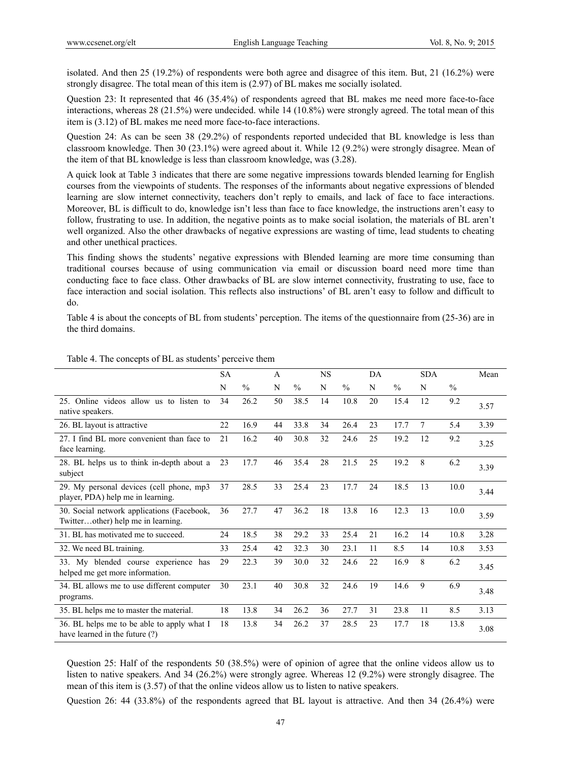isolated. And then 25 (19.2%) of respondents were both agree and disagree of this item. But, 21 (16.2%) were strongly disagree. The total mean of this item is (2.97) of BL makes me socially isolated.

Question 23: It represented that 46 (35.4%) of respondents agreed that BL makes me need more face-to-face interactions, whereas 28 (21.5%) were undecided. while 14 (10.8%) were strongly agreed. The total mean of this item is (3.12) of BL makes me need more face-to-face interactions.

Question 24: As can be seen 38 (29.2%) of respondents reported undecided that BL knowledge is less than classroom knowledge. Then 30 (23.1%) were agreed about it. While 12 (9.2%) were strongly disagree. Mean of the item of that BL knowledge is less than classroom knowledge, was (3.28).

A quick look at Table 3 indicates that there are some negative impressions towards blended learning for English courses from the viewpoints of students. The responses of the informants about negative expressions of blended learning are slow internet connectivity, teachers don't reply to emails, and lack of face to face interactions. Moreover, BL is difficult to do, knowledge isn't less than face to face knowledge, the instructions aren't easy to follow, frustrating to use. In addition, the negative points as to make social isolation, the materials of BL aren't well organized. Also the other drawbacks of negative expressions are wasting of time, lead students to cheating and other unethical practices.

This finding shows the students' negative expressions with Blended learning are more time consuming than traditional courses because of using communication via email or discussion board need more time than conducting face to face class. Other drawbacks of BL are slow internet connectivity, frustrating to use, face to face interaction and social isolation. This reflects also instructions' of BL aren't easy to follow and difficult to do.

Table 4 is about the concepts of BL from students' perception. The items of the questionnaire from (25-36) are in the third domains.

|                                                                                  | <b>SA</b> |               | A  |               | <b>NS</b> |               | DA |               | <b>SDA</b> |               | Mean |
|----------------------------------------------------------------------------------|-----------|---------------|----|---------------|-----------|---------------|----|---------------|------------|---------------|------|
|                                                                                  | N         | $\frac{0}{0}$ | N  | $\frac{0}{0}$ | N         | $\frac{0}{0}$ | N  | $\frac{0}{0}$ | N          | $\frac{0}{0}$ |      |
| 25. Online videos allow us to listen to<br>native speakers.                      | 34        | 26.2          | 50 | 38.5          | 14        | 10.8          | 20 | 15.4          | 12         | 9.2           | 3.57 |
| 26. BL layout is attractive                                                      | 22        | 16.9          | 44 | 33.8          | 34        | 26.4          | 23 | 17.7          | 7          | 5.4           | 3.39 |
| 27. I find BL more convenient than face to<br>face learning.                     | 21        | 16.2          | 40 | 30.8          | 32        | 24.6          | 25 | 19.2          | 12         | 9.2           | 3.25 |
| 28. BL helps us to think in-depth about a<br>subject                             | 23        | 17.7          | 46 | 35.4          | 28        | 21.5          | 25 | 19.2          | 8          | 6.2           | 3.39 |
| 29. My personal devices (cell phone, mp3<br>player, PDA) help me in learning.    | 37        | 28.5          | 33 | 25.4          | 23        | 17.7          | 24 | 18.5          | 13         | 10.0          | 3.44 |
| 30. Social network applications (Facebook,<br>Twitterother) help me in learning. | 36        | 27.7          | 47 | 36.2          | 18        | 13.8          | 16 | 12.3          | 13         | 10.0          | 3.59 |
| 31. BL has motivated me to succeed.                                              | 24        | 18.5          | 38 | 29.2          | 33        | 25.4          | 21 | 16.2          | 14         | 10.8          | 3.28 |
| 32. We need BL training.                                                         | 33        | 25.4          | 42 | 32.3          | 30        | 23.1          | 11 | 8.5           | 14         | 10.8          | 3.53 |
| 33. My blended course experience<br>has<br>helped me get more information.       | 29        | 22.3          | 39 | 30.0          | 32        | 24.6          | 22 | 16.9          | 8          | 6.2           | 3.45 |
| 34. BL allows me to use different computer<br>programs.                          | 30        | 23.1          | 40 | 30.8          | 32        | 24.6          | 19 | 14.6          | 9          | 6.9           | 3.48 |
| 35. BL helps me to master the material.                                          | 18        | 13.8          | 34 | 26.2          | 36        | 27.7          | 31 | 23.8          | 11         | 8.5           | 3.13 |
| 36. BL helps me to be able to apply what I<br>have learned in the future (?)     | 18        | 13.8          | 34 | 26.2          | 37        | 28.5          | 23 | 17.7          | 18         | 13.8          | 3.08 |

#### Table 4. The concepts of BL as students' perceive them

Question 25: Half of the respondents 50 (38.5%) were of opinion of agree that the online videos allow us to listen to native speakers. And 34 (26.2%) were strongly agree. Whereas 12 (9.2%) were strongly disagree. The mean of this item is (3.57) of that the online videos allow us to listen to native speakers.

Question 26: 44 (33.8%) of the respondents agreed that BL layout is attractive. And then 34 (26.4%) were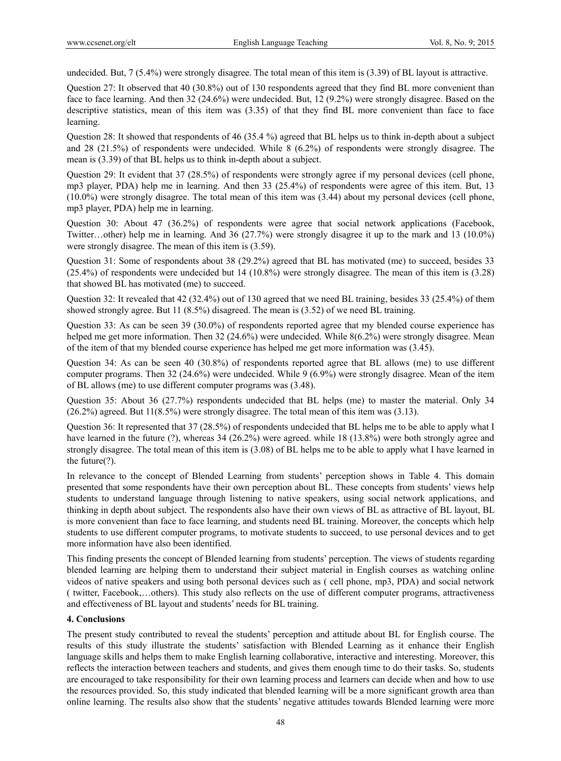undecided. But, 7 (5.4%) were strongly disagree. The total mean of this item is (3.39) of BL layout is attractive.

Question 27: It observed that 40 (30.8%) out of 130 respondents agreed that they find BL more convenient than face to face learning. And then 32 (24.6%) were undecided. But, 12 (9.2%) were strongly disagree. Based on the descriptive statistics, mean of this item was (3.35) of that they find BL more convenient than face to face learning.

Question 28: It showed that respondents of 46 (35.4 %) agreed that BL helps us to think in-depth about a subject and 28 (21.5%) of respondents were undecided. While 8 (6.2%) of respondents were strongly disagree. The mean is (3.39) of that BL helps us to think in-depth about a subject.

Question 29: It evident that 37 (28.5%) of respondents were strongly agree if my personal devices (cell phone, mp3 player, PDA) help me in learning. And then 33 (25.4%) of respondents were agree of this item. But, 13 (10.0%) were strongly disagree. The total mean of this item was (3.44) about my personal devices (cell phone, mp3 player, PDA) help me in learning.

Question 30: About 47 (36.2%) of respondents were agree that social network applications (Facebook, Twitter…other) help me in learning. And 36 (27.7%) were strongly disagree it up to the mark and 13 (10.0%) were strongly disagree. The mean of this item is (3.59).

Question 31: Some of respondents about 38 (29.2%) agreed that BL has motivated (me) to succeed, besides 33 (25.4%) of respondents were undecided but 14 (10.8%) were strongly disagree. The mean of this item is (3.28) that showed BL has motivated (me) to succeed.

Question 32: It revealed that 42 (32.4%) out of 130 agreed that we need BL training, besides 33 (25.4%) of them showed strongly agree. But 11 (8.5%) disagreed. The mean is (3.52) of we need BL training.

Question 33: As can be seen 39 (30.0%) of respondents reported agree that my blended course experience has helped me get more information. Then 32 (24.6%) were undecided. While 8(6.2%) were strongly disagree. Mean of the item of that my blended course experience has helped me get more information was (3.45).

Question 34: As can be seen 40 (30.8%) of respondents reported agree that BL allows (me) to use different computer programs. Then 32 (24.6%) were undecided. While 9 (6.9%) were strongly disagree. Mean of the item of BL allows (me) to use different computer programs was (3.48).

Question 35: About 36 (27.7%) respondents undecided that BL helps (me) to master the material. Only 34 (26.2%) agreed. But 11(8.5%) were strongly disagree. The total mean of this item was (3.13).

Question 36: It represented that 37 (28.5%) of respondents undecided that BL helps me to be able to apply what I have learned in the future (?), whereas 34 (26.2%) were agreed. while 18 (13.8%) were both strongly agree and strongly disagree. The total mean of this item is (3.08) of BL helps me to be able to apply what I have learned in the future(?).

In relevance to the concept of Blended Learning from students' perception shows in Table 4. This domain presented that some respondents have their own perception about BL. These concepts from students' views help students to understand language through listening to native speakers, using social network applications, and thinking in depth about subject. The respondents also have their own views of BL as attractive of BL layout, BL is more convenient than face to face learning, and students need BL training. Moreover, the concepts which help students to use different computer programs, to motivate students to succeed, to use personal devices and to get more information have also been identified.

This finding presents the concept of Blended learning from students' perception. The views of students regarding blended learning are helping them to understand their subject material in English courses as watching online videos of native speakers and using both personal devices such as ( cell phone, mp3, PDA) and social network ( twitter, Facebook,…others). This study also reflects on the use of different computer programs, attractiveness and effectiveness of BL layout and students' needs for BL training.

## **4. Conclusions**

The present study contributed to reveal the students' perception and attitude about BL for English course. The results of this study illustrate the students' satisfaction with Blended Learning as it enhance their English language skills and helps them to make English learning collaborative, interactive and interesting. Moreover, this reflects the interaction between teachers and students, and gives them enough time to do their tasks. So, students are encouraged to take responsibility for their own learning process and learners can decide when and how to use the resources provided. So, this study indicated that blended learning will be a more significant growth area than online learning. The results also show that the students' negative attitudes towards Blended learning were more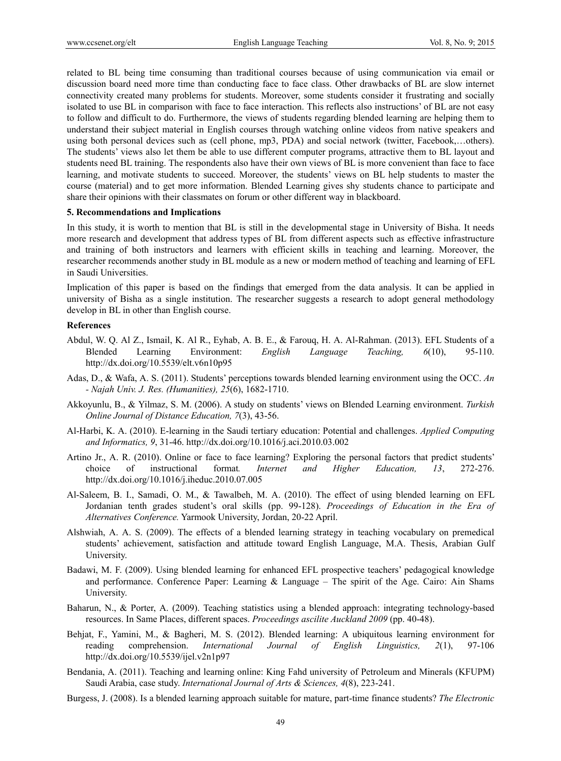related to BL being time consuming than traditional courses because of using communication via email or discussion board need more time than conducting face to face class. Other drawbacks of BL are slow internet connectivity created many problems for students. Moreover, some students consider it frustrating and socially isolated to use BL in comparison with face to face interaction. This reflects also instructions' of BL are not easy to follow and difficult to do. Furthermore, the views of students regarding blended learning are helping them to understand their subject material in English courses through watching online videos from native speakers and using both personal devices such as (cell phone, mp3, PDA) and social network (twitter, Facebook,…others). The students' views also let them be able to use different computer programs, attractive them to BL layout and students need BL training. The respondents also have their own views of BL is more convenient than face to face learning, and motivate students to succeed. Moreover, the students' views on BL help students to master the course (material) and to get more information. Blended Learning gives shy students chance to participate and share their opinions with their classmates on forum or other different way in blackboard.

#### **5. Recommendations and Implications**

In this study, it is worth to mention that BL is still in the developmental stage in University of Bisha. It needs more research and development that address types of BL from different aspects such as effective infrastructure and training of both instructors and learners with efficient skills in teaching and learning. Moreover, the researcher recommends another study in BL module as a new or modern method of teaching and learning of EFL in Saudi Universities.

Implication of this paper is based on the findings that emerged from the data analysis. It can be applied in university of Bisha as a single institution. The researcher suggests a research to adopt general methodology develop in BL in other than English course.

#### **References**

- Abdul, W. Q. Al Z., Ismail, K. Al R., Eyhab, A. B. E., & Farouq, H. A. Al-Rahman. (2013). EFL Students of a Blended Learning Environment: *English Language Teaching, 6*(10), 95-110. http://dx.doi.org/10.5539/elt.v6n10p95
- Adas, D., & Wafa, A. S. (2011). Students' perceptions towards blended learning environment using the OCC. *An - Najah Univ. J. Res. (Humanities), 25*(6), 1682-1710.
- Akkoyunlu, B., & Yilmaz, S. M. (2006). A study on students' views on Blended Learning environment. *Turkish Online Journal of Distance Education, 7*(3), 43-56.
- Al-Harbi, K. A. (2010). E-learning in the Saudi tertiary education: Potential and challenges. *Applied Computing and Informatics, 9*, 31-46. http://dx.doi.org/10.1016/j.aci.2010.03.002
- Artino Jr., A. R. (2010). Online or face to face learning? Exploring the personal factors that predict students' choice of instructional format*. Internet and Higher Education, 13*, 272-276. http://dx.doi.org/10.1016/j.iheduc.2010.07.005
- Al-Saleem, B. I., Samadi, O. M., & Tawalbeh, M. A. (2010). The effect of using blended learning on EFL Jordanian tenth grades student's oral skills (pp. 99-128). *Proceedings of Education in the Era of Alternatives Conference.* Yarmook University, Jordan, 20-22 April.
- Alshwiah, A. A. S. (2009). The effects of a blended learning strategy in teaching vocabulary on premedical students' achievement, satisfaction and attitude toward English Language, M.A. Thesis, Arabian Gulf University.
- Badawi, M. F. (2009). Using blended learning for enhanced EFL prospective teachers' pedagogical knowledge and performance. Conference Paper: Learning & Language – The spirit of the Age. Cairo: Ain Shams University.
- Baharun, N., & Porter, A. (2009). Teaching statistics using a blended approach: integrating technology-based resources. In Same Places, different spaces. *Proceedings ascilite Auckland 2009* (pp. 40-48).
- Behjat, F., Yamini, M., & Bagheri, M. S. (2012). Blended learning: A ubiquitous learning environment for reading comprehension. *International Journal of English Linguistics, 2*(1), 97-106 http://dx.doi.org/10.5539/ijel.v2n1p97
- Bendania, A. (2011). Teaching and learning online: King Fahd university of Petroleum and Minerals (KFUPM) Saudi Arabia, case study. *International Journal of Arts & Sciences, 4*(8), 223-241.
- Burgess, J. (2008). Is a blended learning approach suitable for mature, part-time finance students? *The Electronic*